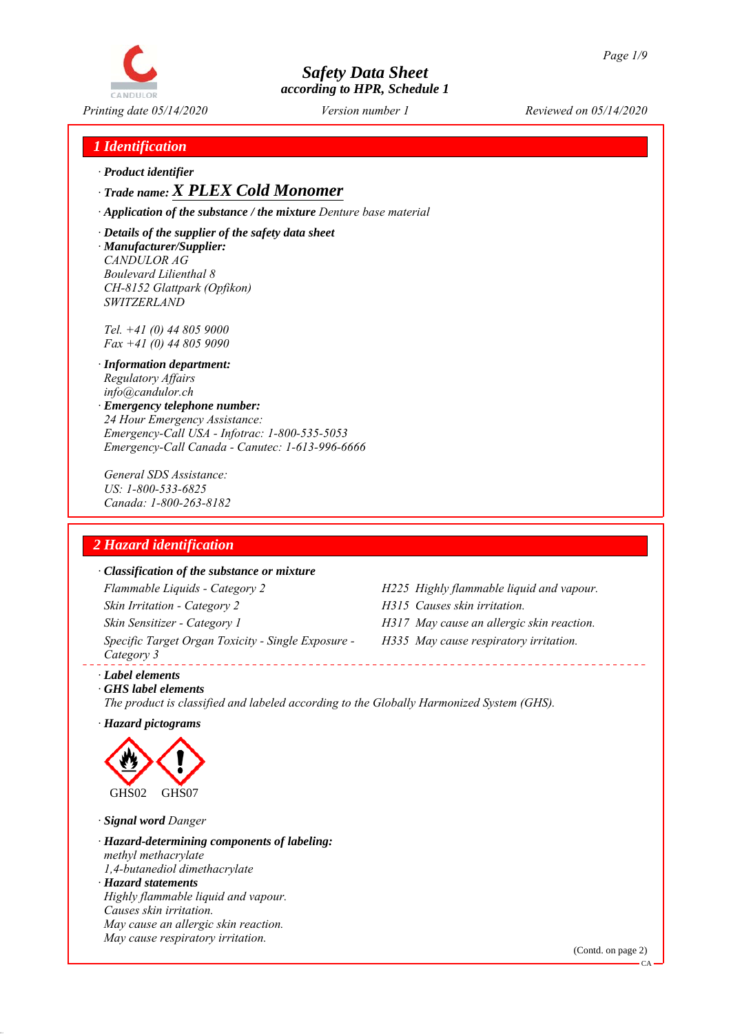

## *1 Identification*

*ꞏ Product identifier*

*ꞏ Trade name: X PLEX Cold Monomer*

*ꞏ Application of the substance / the mixture Denture base material*

*ꞏ Details of the supplier of the safety data sheet ꞏ Manufacturer/Supplier: CANDULOR AG Boulevard Lilienthal 8 CH-8152 Glattpark (Opfikon) SWITZERLAND*

*Tel. +41 (0) 44 805 9000 Fax +41 (0) 44 805 9090*

- *ꞏ Information department: Regulatory Affairs info@candulor.ch*
- *ꞏ Emergency telephone number: 24 Hour Emergency Assistance: Emergency-Call USA - Infotrac: 1-800-535-5053 Emergency-Call Canada - Canutec: 1-613-996-6666*

*General SDS Assistance: US: 1-800-533-6825 Canada: 1-800-263-8182*

## *2 Hazard identification*

### *ꞏ Classification of the substance or mixture*

*Flammable Liquids - Category 2 H225 Highly flammable liquid and vapour. Skin Irritation - Category 2 H315 Causes skin irritation. Skin Sensitizer - Category 1 H317 May cause an allergic skin reaction. Specific Target Organ Toxicity - Single Exposure - Category 3* 

- 
- 
- *H335 May cause respiratory irritation.*

*ꞏ Label elements ꞏ GHS label elements*

*The product is classified and labeled according to the Globally Harmonized System (GHS).*

*ꞏ Hazard pictograms*



*ꞏ Signal word Danger*

*ꞏ Hazard-determining components of labeling: methyl methacrylate 1,4-butanediol dimethacrylate ꞏ Hazard statements Highly flammable liquid and vapour. Causes skin irritation. May cause an allergic skin reaction. May cause respiratory irritation.*

(Contd. on page 2)

 $CA$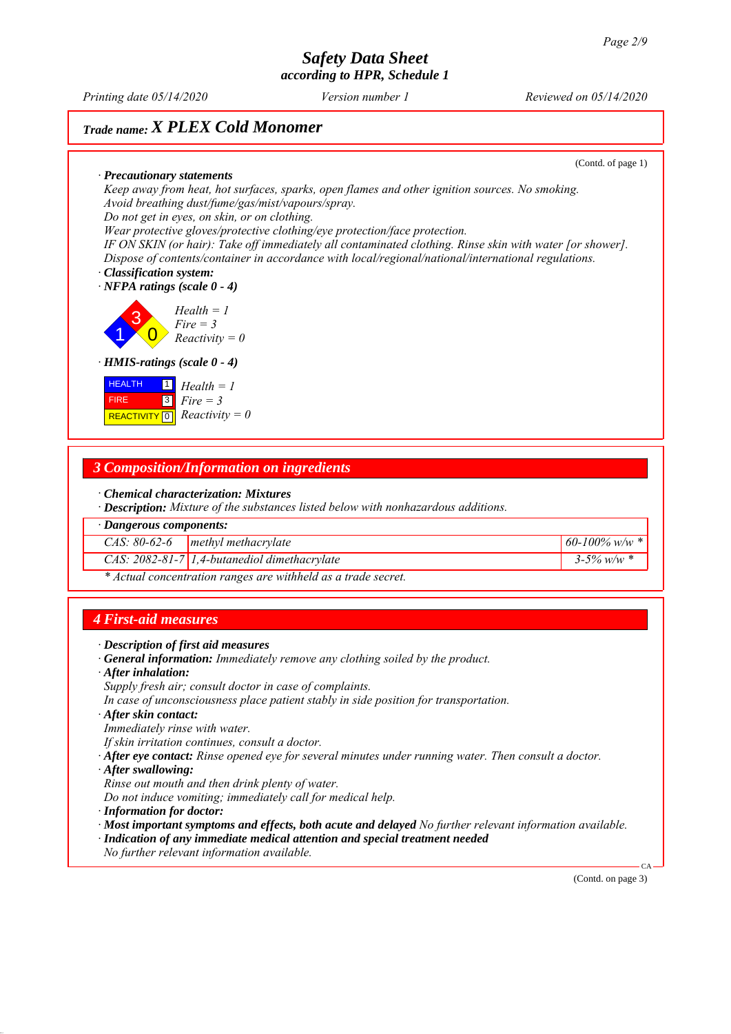*Printing date 05/14/2020 Reviewed on 05/14/2020 Version number 1*

## *Trade name: X PLEX Cold Monomer*

(Contd. of page 1)

*ꞏ Precautionary statements Keep away from heat, hot surfaces, sparks, open flames and other ignition sources. No smoking. Avoid breathing dust/fume/gas/mist/vapours/spray. Do not get in eyes, on skin, or on clothing. Wear protective gloves/protective clothing/eye protection/face protection.*

*IF ON SKIN (or hair): Take off immediately all contaminated clothing. Rinse skin with water [or shower]. Dispose of contents/container in accordance with local/regional/national/international regulations.*

*ꞏ Classification system: ꞏ NFPA ratings (scale 0 - 4)*

1 3  $\overline{0}$ *Health = 1 Fire = 3 Reactivity = 0*

### *ꞏ HMIS-ratings (scale 0 - 4)*

| <b>HEALTH</b> | $\boxed{1}$ Health = 1                                                       |
|---------------|------------------------------------------------------------------------------|
| <b>FIRE</b>   | $\begin{array}{ c } \hline \hline 3 & \text{Fire} = 3 \\ \hline \end{array}$ |
|               | REACTIVITY $\boxed{0}$ <i>Reactivity</i> = 0                                 |

### *3 Composition/Information on ingredients*

*ꞏ Chemical characterization: Mixtures*

*ꞏ Description: Mixture of the substances listed below with nonhazardous additions.*

*ꞏ Dangerous components:*

*CAS: 80-62-6 methyl methacrylate 60-100% w/w \**

*CAS: 2082-81-7 1,4-butanediol dimethacrylate 3-5% w/w \**

*\* Actual concentration ranges are withheld as a trade secret.*

### *4 First-aid measures*

- *ꞏ General information: Immediately remove any clothing soiled by the product.*
- *ꞏ After inhalation:*
- *Supply fresh air; consult doctor in case of complaints.*
- *In case of unconsciousness place patient stably in side position for transportation.*
- *ꞏ After skin contact:*
- *Immediately rinse with water.*
- *If skin irritation continues, consult a doctor.*
- *ꞏ After eye contact: Rinse opened eye for several minutes under running water. Then consult a doctor.*
- *ꞏ After swallowing:*
- *Rinse out mouth and then drink plenty of water.*
- *Do not induce vomiting; immediately call for medical help.*
- *ꞏ Information for doctor:*
- *ꞏ Most important symptoms and effects, both acute and delayed No further relevant information available.*
- *ꞏ Indication of any immediate medical attention and special treatment needed*
- *No further relevant information available.*

(Contd. on page 3)

CA

*ꞏ Description of first aid measures*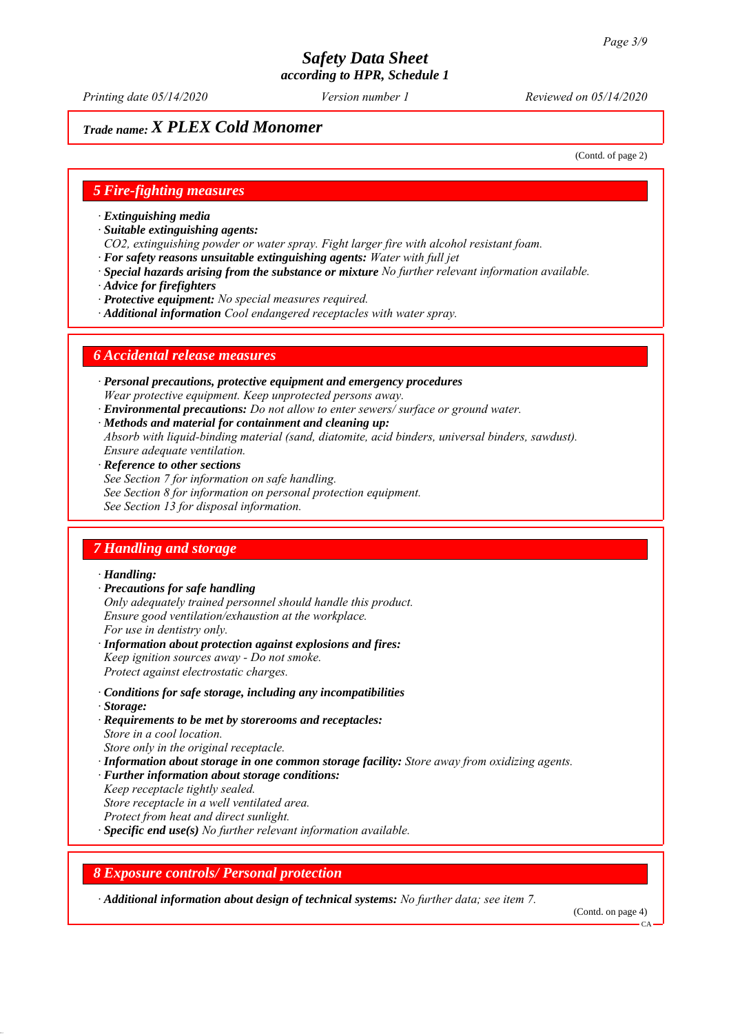*Printing date 05/14/2020 Reviewed on 05/14/2020 Version number 1*

## *Trade name: X PLEX Cold Monomer*

(Contd. of page 2)

### *5 Fire-fighting measures*

- *ꞏ Extinguishing media*
- *ꞏ Suitable extinguishing agents:*
- *CO2, extinguishing powder or water spray. Fight larger fire with alcohol resistant foam.*
- *ꞏ For safety reasons unsuitable extinguishing agents: Water with full jet*
- *ꞏ Special hazards arising from the substance or mixture No further relevant information available.*
- *ꞏ Advice for firefighters*
- *ꞏ Protective equipment: No special measures required.*
- *ꞏ Additional information Cool endangered receptacles with water spray.*

### *6 Accidental release measures*

- *ꞏ Personal precautions, protective equipment and emergency procedures Wear protective equipment. Keep unprotected persons away.*
- *ꞏ Environmental precautions: Do not allow to enter sewers/ surface or ground water.*
- *ꞏ Methods and material for containment and cleaning up:*
- *Absorb with liquid-binding material (sand, diatomite, acid binders, universal binders, sawdust). Ensure adequate ventilation.*
- *ꞏ Reference to other sections*
- *See Section 7 for information on safe handling.*
- *See Section 8 for information on personal protection equipment.*
- *See Section 13 for disposal information.*

### *7 Handling and storage*

### *ꞏ Handling:*

- *ꞏ Precautions for safe handling Only adequately trained personnel should handle this product. Ensure good ventilation/exhaustion at the workplace. For use in dentistry only.*
- *ꞏ Information about protection against explosions and fires: Keep ignition sources away - Do not smoke. Protect against electrostatic charges.*
- *ꞏ Conditions for safe storage, including any incompatibilities ꞏ Storage:*
- *ꞏ Requirements to be met by storerooms and receptacles: Store in a cool location. Store only in the original receptacle.*
- *ꞏ Information about storage in one common storage facility: Store away from oxidizing agents.*
- *ꞏ Further information about storage conditions:*
- *Keep receptacle tightly sealed.*
- *Store receptacle in a well ventilated area.*
- *Protect from heat and direct sunlight.*
- *ꞏ Specific end use(s) No further relevant information available.*

### *8 Exposure controls/ Personal protection*

*ꞏ Additional information about design of technical systems: No further data; see item 7.*

(Contd. on page 4)

CA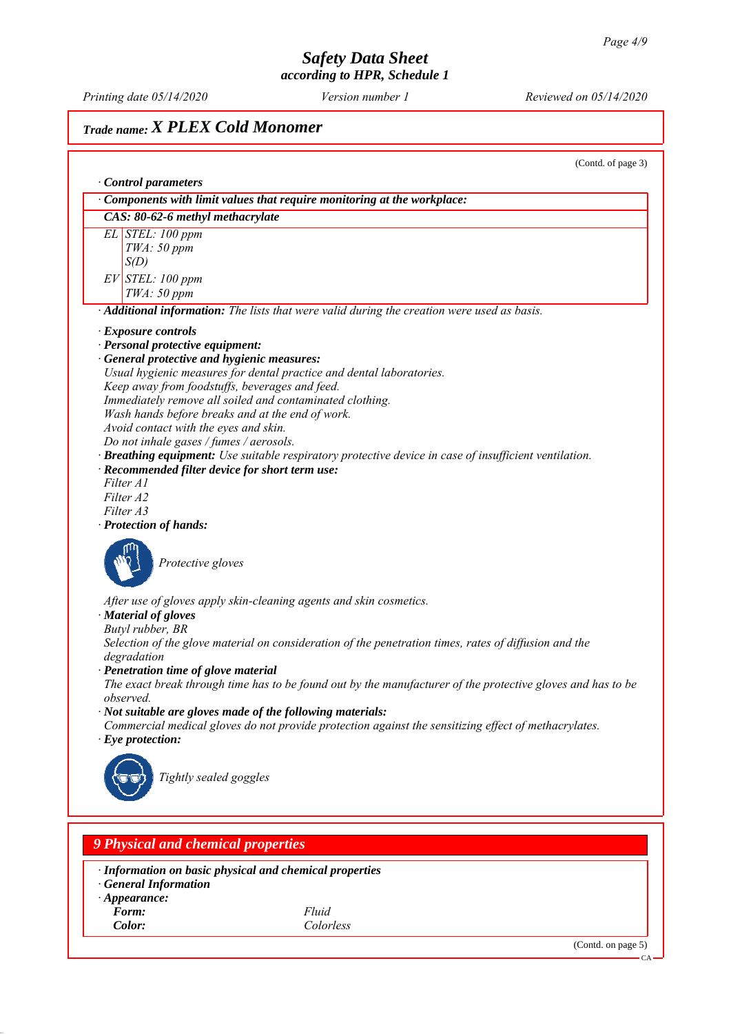*Printing date 05/14/2020 Reviewed on 05/14/2020 Version number 1*

## *Trade name: X PLEX Cold Monomer*

(Contd. of page 3) *ꞏ Control parameters ꞏ Components with limit values that require monitoring at the workplace: CAS: 80-62-6 methyl methacrylate EL STEL: 100 ppm TWA: 50 ppm S(D) EV STEL: 100 ppm TWA: 50 ppm ꞏ Additional information: The lists that were valid during the creation were used as basis. ꞏ Exposure controls ꞏ Personal protective equipment: ꞏ General protective and hygienic measures: Usual hygienic measures for dental practice and dental laboratories. Keep away from foodstuffs, beverages and feed. Immediately remove all soiled and contaminated clothing. Wash hands before breaks and at the end of work. Avoid contact with the eyes and skin. Do not inhale gases / fumes / aerosols. ꞏ Breathing equipment: Use suitable respiratory protective device in case of insufficient ventilation. ꞏ Recommended filter device for short term use: Filter A1 Filter A2 Filter A3 ꞏ Protection of hands: Protective gloves After use of gloves apply skin-cleaning agents and skin cosmetics. ꞏ Material of gloves Butyl rubber, BR Selection of the glove material on consideration of the penetration times, rates of diffusion and the degradation ꞏ Penetration time of glove material The exact break through time has to be found out by the manufacturer of the protective gloves and has to be observed. ꞏ Not suitable are gloves made of the following materials: Commercial medical gloves do not provide protection against the sensitizing effect of methacrylates. ꞏ Eye protection: Tightly sealed goggles 9 Physical and chemical properties*

*ꞏ Information on basic physical and chemical properties*

- *ꞏ General Information*
- *ꞏ Appearance:*
- *Form: Fluid*

*Color: Colorless*

(Contd. on page 5)

CA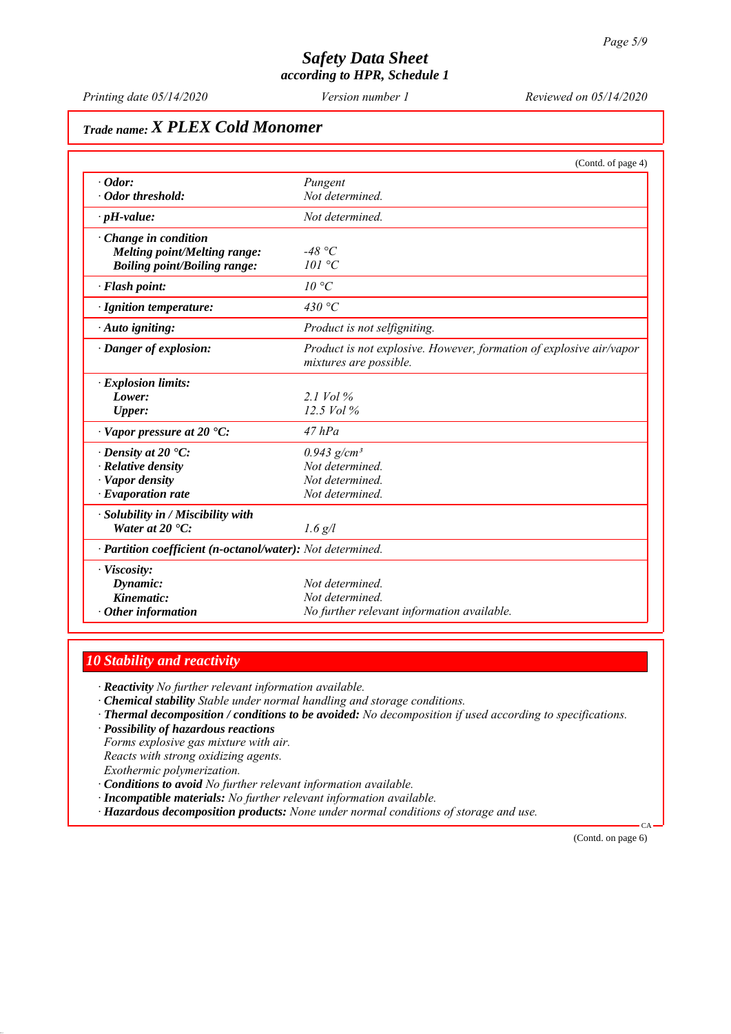*Printing date 05/14/2020 Reviewed on 05/14/2020 Version number 1*

# *Trade name: X PLEX Cold Monomer*

|                                                            | (Contd. of page 4)                                                                            |
|------------------------------------------------------------|-----------------------------------------------------------------------------------------------|
| $\cdot$ Odor:                                              | Pungent                                                                                       |
| · Odor threshold:                                          | Not determined.                                                                               |
| $\cdot$ pH-value:                                          | Not determined.                                                                               |
| Change in condition                                        |                                                                                               |
| Melting point/Melting range:                               | -48 °C                                                                                        |
| <b>Boiling point/Boiling range:</b>                        | 101 °C                                                                                        |
| · Flash point:                                             | $10^{\circ}C$                                                                                 |
| · Ignition temperature:                                    | 430 °C                                                                                        |
| · Auto igniting:                                           | Product is not selfigniting.                                                                  |
| · Danger of explosion:                                     | Product is not explosive. However, formation of explosive air/vapor<br>mixtures are possible. |
| <b>Explosion limits:</b>                                   |                                                                                               |
| Lower:                                                     | 2.1 Vol $\%$                                                                                  |
| <b>Upper:</b>                                              | 12.5 Vol %                                                                                    |
| $\cdot$ Vapor pressure at 20 $\cdot$ C:                    | $47$ $hPa$                                                                                    |
| $\cdot$ Density at 20 $\cdot$ C:                           | $0.943$ g/cm <sup>3</sup>                                                                     |
| · Relative density                                         | Not determined.                                                                               |
| · Vapor density                                            | Not determined.                                                                               |
| $\cdot$ Evaporation rate                                   | Not determined.                                                                               |
| Solubility in / Miscibility with                           |                                                                                               |
| Water at $20 \text{ }^{\circ}C$ :                          | $1.6$ g/l                                                                                     |
| · Partition coefficient (n-octanol/water): Not determined. |                                                                                               |
| · Viscosity:                                               |                                                                                               |
| Dynamic:                                                   | Not determined.                                                                               |
| Kinematic:                                                 | Not determined.                                                                               |
| $\cdot$ Other information                                  | No further relevant information available.                                                    |

### *10 Stability and reactivity*

*ꞏ Reactivity No further relevant information available.*

- *ꞏ Chemical stability Stable under normal handling and storage conditions.*
- *ꞏ Thermal decomposition / conditions to be avoided: No decomposition if used according to specifications.*
- *ꞏ Possibility of hazardous reactions*

*Forms explosive gas mixture with air. Reacts with strong oxidizing agents. Exothermic polymerization.*

- *ꞏ Conditions to avoid No further relevant information available.*
- *ꞏ Incompatible materials: No further relevant information available.*
- *ꞏ Hazardous decomposition products: None under normal conditions of storage and use.*

(Contd. on page 6)

CA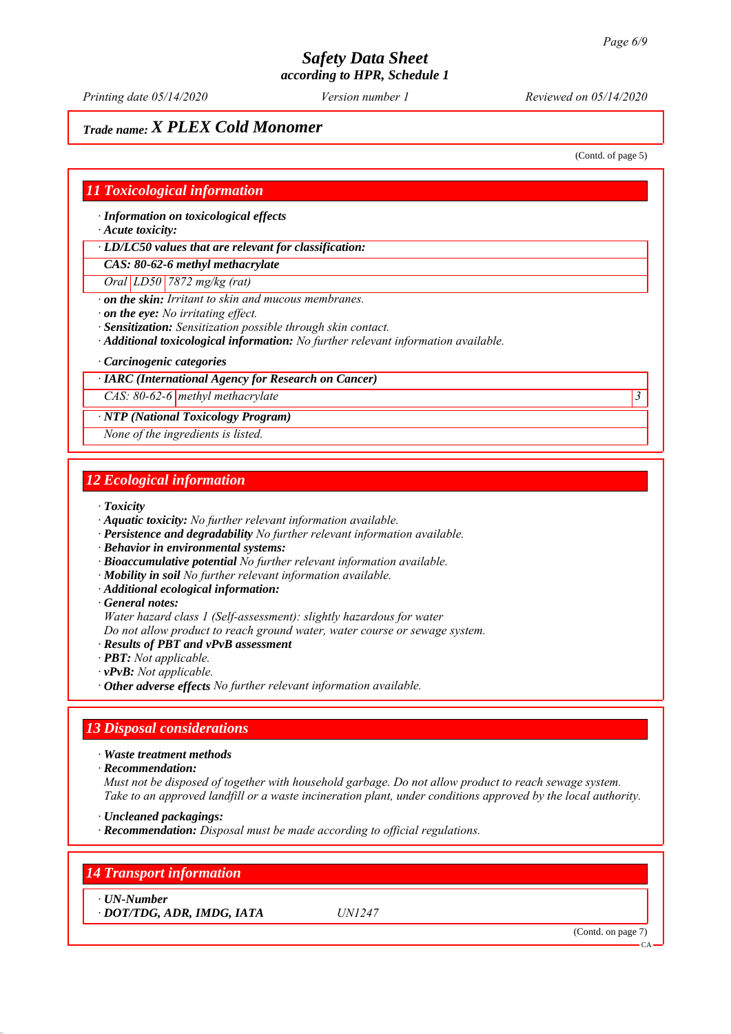*Printing date 05/14/2020 Reviewed on 05/14/2020 Version number 1*

## *Trade name: X PLEX Cold Monomer*

(Contd. of page 5)

### *11 Toxicological information*

*ꞏ Information on toxicological effects*

*ꞏ Acute toxicity:*

*ꞏ LD/LC50 values that are relevant for classification:*

*CAS: 80-62-6 methyl methacrylate*

*Oral LD50 7872 mg/kg (rat)*

*ꞏ on the skin: Irritant to skin and mucous membranes.*

*ꞏ on the eye: No irritating effect.*

- *ꞏ Sensitization: Sensitization possible through skin contact.*
- *ꞏ Additional toxicological information: No further relevant information available.*
- *ꞏ Carcinogenic categories*

### *ꞏ IARC (International Agency for Research on Cancer)*

*CAS: 80-62-6 methyl methacrylate 3* 

### *ꞏ NTP (National Toxicology Program)*

*None of the ingredients is listed.*

### *12 Ecological information*

*ꞏ Toxicity*

- *ꞏ Aquatic toxicity: No further relevant information available.*
- *ꞏ Persistence and degradability No further relevant information available.*
- *ꞏ Behavior in environmental systems:*
- *ꞏ Bioaccumulative potential No further relevant information available.*
- *ꞏ Mobility in soil No further relevant information available.*
- *ꞏ Additional ecological information:*

*ꞏ General notes:*

*Water hazard class 1 (Self-assessment): slightly hazardous for water*

*Do not allow product to reach ground water, water course or sewage system.*

- *ꞏ Results of PBT and vPvB assessment*
- *ꞏ PBT: Not applicable.*
- *ꞏ vPvB: Not applicable.*
- *ꞏ Other adverse effects No further relevant information available.*

### *13 Disposal considerations*

*ꞏ Waste treatment methods*

*ꞏ Recommendation:*

*Must not be disposed of together with household garbage. Do not allow product to reach sewage system. Take to an approved landfill or a waste incineration plant, under conditions approved by the local authority.*

- *ꞏ Uncleaned packagings:*
- *ꞏ Recommendation: Disposal must be made according to official regulations.*

*14 Transport information*

*ꞏ UN-Number*

*ꞏ DOT/TDG, ADR, IMDG, IATA UN1247*

(Contd. on page 7)

CA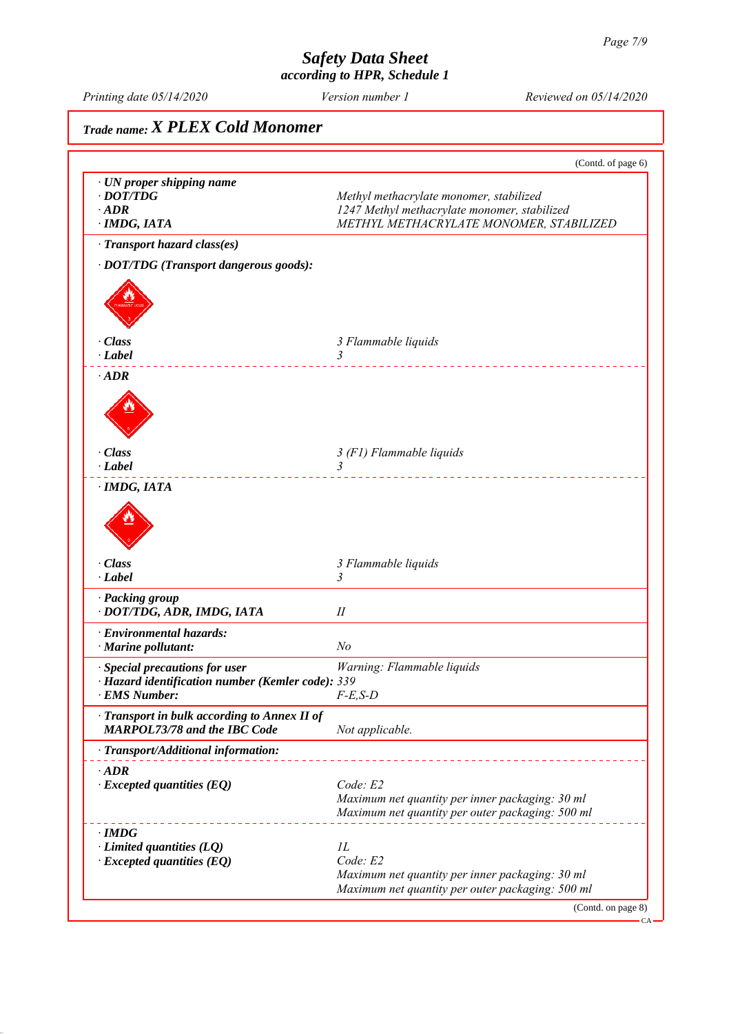*Printing date 05/14/2020 Reviewed on 05/14/2020 Version number 1*

# *Trade name: X PLEX Cold Monomer* (Contd. of page 6) *ꞏ UN proper shipping name • DOT/TDG Methyl methacrylate monomer, stabilized ꞏ ADR 1247 Methyl methacrylate monomer, stabilized ꞏ IMDG, IATA METHYL METHACRYLATE MONOMER, STABILIZED ꞏ Transport hazard class(es) ꞏ DOT/TDG (Transport dangerous goods): ꞏ Class 3 Flammable liquids ꞏ Label 3*  . . . . . . . . . . . . . . . *ꞏ ADR ꞏ Class 3 (F1) Flammable liquids ꞏ Label 3*  . . . . . . . . . . . . . . . . *ꞏ IMDG, IATA ꞏ Class 3 Flammable liquids ꞏ Label 3 ꞏ Packing group ꞏ DOT/TDG, ADR, IMDG, IATA II ꞏ Environmental hazards: ꞏ Marine pollutant: No ꞏ Special precautions for user Warning: Flammable liquids ꞏ Hazard identification number (Kemler code): 339 <i><u>EMS Number:</u> ꞏ Transport in bulk according to Annex II of MARPOL73/78 and the IBC Code Not applicable. ꞏ Transport/Additional information:* . <u>. . . . . . . . . . . . . . . . .</u> . . *ꞏ ADR ꞏ Excepted quantities (EQ) Code: E2 Maximum net quantity per inner packaging: 30 ml Maximum net quantity per outer packaging: 500 ml ꞏ IMDG Limited quantities (LQ) 1L*<br>*Excepted quantities (EO) Code: E2*  $\cdot$  *Excepted quantities (EQ) Maximum net quantity per inner packaging: 30 ml Maximum net quantity per outer packaging: 500 ml* (Contd. on page 8) CA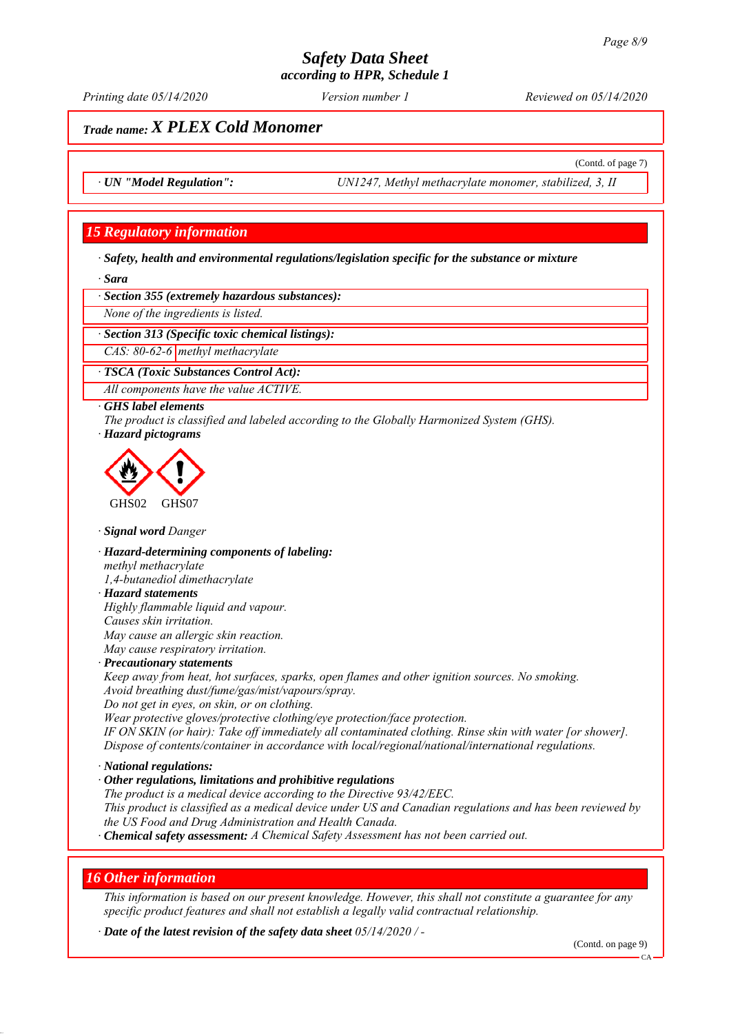*Printing date 05/14/2020 Reviewed on 05/14/2020 Version number 1*

(Contd. of page 7)

## *Trade name: X PLEX Cold Monomer*

*ꞏ UN "Model Regulation": UN1247, Methyl methacrylate monomer, stabilized, 3, II*

### *15 Regulatory information*

*ꞏ Safety, health and environmental regulations/legislation specific for the substance or mixture*

*ꞏ Sara*

*ꞏ Section 355 (extremely hazardous substances):*

*None of the ingredients is listed.*

*ꞏ Section 313 (Specific toxic chemical listings):*

*CAS: 80-62-6 methyl methacrylate*

*ꞏ TSCA (Toxic Substances Control Act):*

*All components have the value ACTIVE.*

### *ꞏ GHS label elements*

*The product is classified and labeled according to the Globally Harmonized System (GHS). ꞏ Hazard pictograms*



*ꞏ Signal word Danger*

*ꞏ Hazard-determining components of labeling: methyl methacrylate 1,4-butanediol dimethacrylate*

## *ꞏ Hazard statements*

*Highly flammable liquid and vapour. Causes skin irritation. May cause an allergic skin reaction. May cause respiratory irritation.*

### *ꞏ Precautionary statements*

*Keep away from heat, hot surfaces, sparks, open flames and other ignition sources. No smoking. Avoid breathing dust/fume/gas/mist/vapours/spray.*

*Do not get in eyes, on skin, or on clothing.*

*Wear protective gloves/protective clothing/eye protection/face protection.*

*IF ON SKIN (or hair): Take off immediately all contaminated clothing. Rinse skin with water [or shower]. Dispose of contents/container in accordance with local/regional/national/international regulations.*

### *ꞏ National regulations:*

*ꞏ Other regulations, limitations and prohibitive regulations The product is a medical device according to the Directive 93/42/EEC. This product is classified as a medical device under US and Canadian regulations and has been reviewed by the US Food and Drug Administration and Health Canada. ꞏ Chemical safety assessment: A Chemical Safety Assessment has not been carried out.*

### *16 Other information*

*This information is based on our present knowledge. However, this shall not constitute a guarantee for any specific product features and shall not establish a legally valid contractual relationship.*

*ꞏ Date of the latest revision of the safety data sheet 05/14/2020 / -*

CA